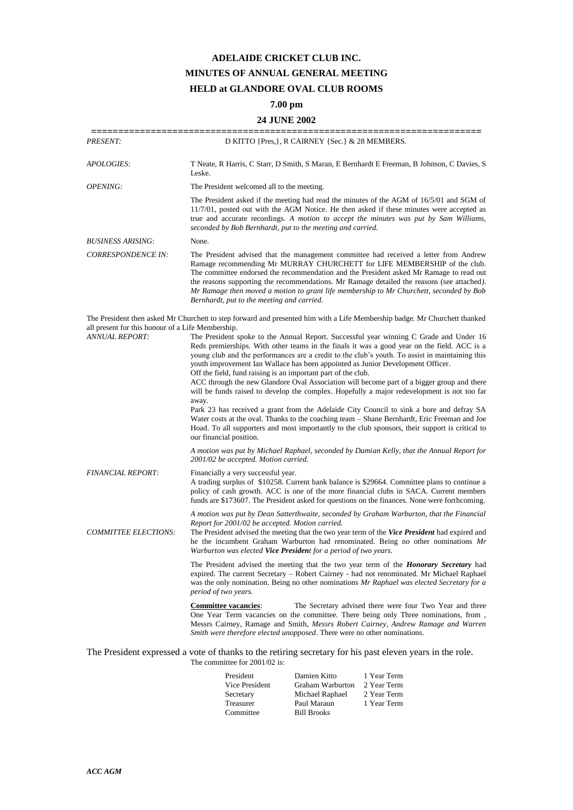## **ADELAIDE CRICKET CLUB INC. MINUTES OF ANNUAL GENERAL MEETING HELD at GLANDORE OVAL CLUB ROOMS**

## **7.00 pm**

## **24 JUNE 2002**

| <b>PRESENT:</b>                                                                                                                                   |                                                                                                                                                                                                                                                                                                                                                                                                                                                                                                                                                                                                                                                                                                                                                                                                                                                                                                                                                   | D KITTO {Pres, }, R CAIRNEY {Sec.} & 28 MEMBERS.                   | ==================                                                                                                                                                                                                                                                            |
|---------------------------------------------------------------------------------------------------------------------------------------------------|---------------------------------------------------------------------------------------------------------------------------------------------------------------------------------------------------------------------------------------------------------------------------------------------------------------------------------------------------------------------------------------------------------------------------------------------------------------------------------------------------------------------------------------------------------------------------------------------------------------------------------------------------------------------------------------------------------------------------------------------------------------------------------------------------------------------------------------------------------------------------------------------------------------------------------------------------|--------------------------------------------------------------------|-------------------------------------------------------------------------------------------------------------------------------------------------------------------------------------------------------------------------------------------------------------------------------|
| <i>APOLOGIES:</i>                                                                                                                                 | Leske.                                                                                                                                                                                                                                                                                                                                                                                                                                                                                                                                                                                                                                                                                                                                                                                                                                                                                                                                            |                                                                    | T Neate, R Harris, C Starr, D Smith, S Maran, E Bernhardt E Freeman, B Johnson, C Davies, S                                                                                                                                                                                   |
| OPENING:                                                                                                                                          | The President welcomed all to the meeting.                                                                                                                                                                                                                                                                                                                                                                                                                                                                                                                                                                                                                                                                                                                                                                                                                                                                                                        |                                                                    |                                                                                                                                                                                                                                                                               |
|                                                                                                                                                   | seconded by Bob Bernhardt, put to the meeting and carried.                                                                                                                                                                                                                                                                                                                                                                                                                                                                                                                                                                                                                                                                                                                                                                                                                                                                                        |                                                                    | The President asked if the meeting had read the minutes of the AGM of 16/5/01 and SGM of<br>11/7/01, posted out with the AGM Notice. He then asked if these minutes were accepted as<br>true and accurate recordings. A motion to accept the minutes was put by Sam Williams, |
| <b>BUSINESS ARISING:</b>                                                                                                                          | None.                                                                                                                                                                                                                                                                                                                                                                                                                                                                                                                                                                                                                                                                                                                                                                                                                                                                                                                                             |                                                                    |                                                                                                                                                                                                                                                                               |
| <b>CORRESPONDENCE IN:</b>                                                                                                                         | The President advised that the management committee had received a letter from Andrew<br>Ramage recommending Mr MURRAY CHURCHETT for LIFE MEMBERSHIP of the club.<br>The committee endorsed the recommendation and the President asked Mr Ramage to read out<br>the reasons supporting the recommendations. Mr Ramage detailed the reasons (see attached).<br>Mr Ramage then moved a motion to grant life membership to Mr Churchett, seconded by Bob<br>Bernhardt, put to the meeting and carried.                                                                                                                                                                                                                                                                                                                                                                                                                                               |                                                                    |                                                                                                                                                                                                                                                                               |
|                                                                                                                                                   |                                                                                                                                                                                                                                                                                                                                                                                                                                                                                                                                                                                                                                                                                                                                                                                                                                                                                                                                                   |                                                                    | The President then asked Mr Churchett to step forward and presented him with a Life Membership badge. Mr Churchett thanked                                                                                                                                                    |
| all present for this honour of a Life Membership.<br><b>ANNUAL REPORT:</b>                                                                        | The President spoke to the Annual Report. Successful year winning C Grade and Under 16<br>Reds premierships. With other teams in the finals it was a good year on the field. ACC is a<br>young club and the performances are a credit to the club's youth. To assist in maintaining this<br>youth improvement Ian Wallace has been appointed as Junior Development Officer.<br>Off the field, fund raising is an important part of the club.<br>ACC through the new Glandore Oval Association will become part of a bigger group and there<br>will be funds raised to develop the complex. Hopefully a major redevelopment is not too far<br>away.<br>Park 23 has received a grant from the Adelaide City Council to sink a bore and defray SA<br>Water costs at the oval. Thanks to the coaching team – Shane Bernhardt, Eric Freeman and Joe<br>Hoad. To all supporters and most importantly to the club sponsors, their support is critical to |                                                                    |                                                                                                                                                                                                                                                                               |
|                                                                                                                                                   | our financial position.                                                                                                                                                                                                                                                                                                                                                                                                                                                                                                                                                                                                                                                                                                                                                                                                                                                                                                                           |                                                                    | A motion was put by Michael Raphael, seconded by Damian Kelly, that the Annual Report for                                                                                                                                                                                     |
|                                                                                                                                                   | 2001/02 be accepted. Motion carried.                                                                                                                                                                                                                                                                                                                                                                                                                                                                                                                                                                                                                                                                                                                                                                                                                                                                                                              |                                                                    |                                                                                                                                                                                                                                                                               |
| <b>FINANCIAL REPORT:</b>                                                                                                                          | Financially a very successful year.<br>A trading surplus of \$10258. Current bank balance is \$29664. Committee plans to continue a<br>policy of cash growth. ACC is one of the more financial clubs in SACA. Current members<br>funds are \$173607. The President asked for questions on the finances. None were forthcoming.                                                                                                                                                                                                                                                                                                                                                                                                                                                                                                                                                                                                                    |                                                                    |                                                                                                                                                                                                                                                                               |
|                                                                                                                                                   |                                                                                                                                                                                                                                                                                                                                                                                                                                                                                                                                                                                                                                                                                                                                                                                                                                                                                                                                                   |                                                                    | A motion was put by Dean Satterthwaite, seconded by Graham Warburton, that the Financial                                                                                                                                                                                      |
| Report for 2001/02 be accepted. Motion carried.<br><b>COMMITTEE ELECTIONS:</b><br>Warburton was elected Vice President for a period of two years. |                                                                                                                                                                                                                                                                                                                                                                                                                                                                                                                                                                                                                                                                                                                                                                                                                                                                                                                                                   |                                                                    | The President advised the meeting that the two year term of the Vice President had expired and<br>he the incumbent Graham Warburton had renominated. Being no other nominations Mr                                                                                            |
|                                                                                                                                                   | The President advised the meeting that the two year term of the <b>Honorary Secretary</b> had<br>expired. The current Secretary – Robert Cairney - had not renominated. Mr Michael Raphael<br>was the only nomination. Being no other nominations Mr Raphael was elected Secretary for a<br>period of two years.                                                                                                                                                                                                                                                                                                                                                                                                                                                                                                                                                                                                                                  |                                                                    |                                                                                                                                                                                                                                                                               |
|                                                                                                                                                   | <b>Committee vacancies:</b><br><i>Smith were therefore elected unopposed.</i> There were no other nominations.                                                                                                                                                                                                                                                                                                                                                                                                                                                                                                                                                                                                                                                                                                                                                                                                                                    |                                                                    | The Secretary advised there were four Two Year and three<br>One Year Term vacancies on the committee. There being only Three nominations, from ,<br>Messrs Cairney, Ramage and Smith, Messrs Robert Cairney, Andrew Ramage and Warren                                         |
|                                                                                                                                                   | The committee for 2001/02 is:                                                                                                                                                                                                                                                                                                                                                                                                                                                                                                                                                                                                                                                                                                                                                                                                                                                                                                                     |                                                                    | The President expressed a vote of thanks to the retiring secretary for his past eleven years in the role.                                                                                                                                                                     |
|                                                                                                                                                   | President<br>Vice President<br>Secretary<br>Treasurer                                                                                                                                                                                                                                                                                                                                                                                                                                                                                                                                                                                                                                                                                                                                                                                                                                                                                             | Damien Kitto<br>Graham Warburton<br>Michael Raphael<br>Paul Maraun | 1 Year Term<br>2 Year Term<br>2 Year Term<br>1 Year Term                                                                                                                                                                                                                      |

Committee Bill Brooks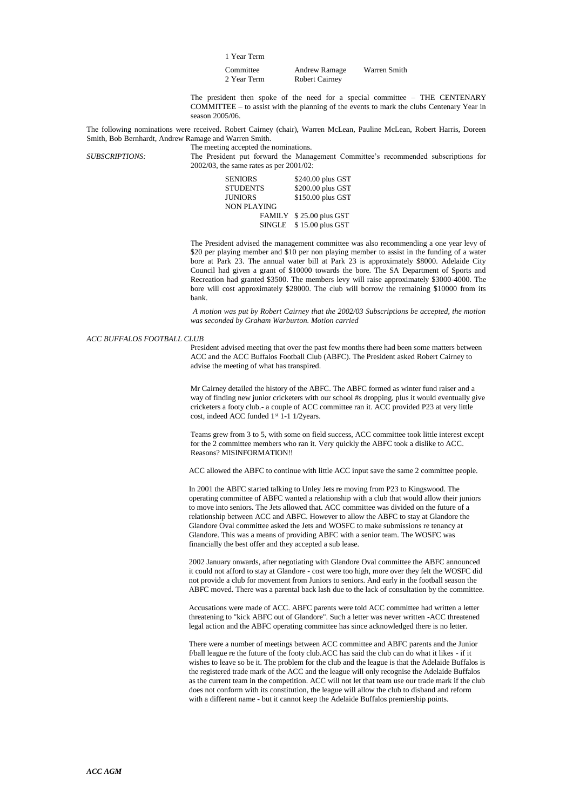|  |  | Year Term |
|--|--|-----------|
|--|--|-----------|

| Committee   | <b>Andrew Ramage</b>  | Warren Smith |
|-------------|-----------------------|--------------|
| 2 Year Term | <b>Robert Cairney</b> |              |

The president then spoke of the need for a special committee – THE CENTENARY COMMITTEE – to assist with the planning of the events to mark the clubs Centenary Year in season 2005/06.

The following nominations were received. Robert Cairney (chair), Warren McLean, Pauline McLean, Robert Harris, Doreen Smith, Bob Bernhardt, Andrew Ramage and Warren Smith.

The meeting accepted the nominations. *SUBSCRIPTIONS:* The President put forward the Management Committee's recommended subscriptions for 2002/03, the same rates as per 2001/02:

| <b>SENIORS</b>     | \$240.00 plus GST |
|--------------------|-------------------|
| <b>STUDENTS</b>    | \$200.00 plus GST |
| <b>JUNIORS</b>     | \$150.00 plus GST |
| <b>NON PLAYING</b> |                   |
| <b>FAMILY</b>      | \$25.00 plus GST  |
| <b>SINGLE</b>      | \$15.00 plus GST  |

The President advised the management committee was also recommending a one year levy of \$20 per playing member and \$10 per non playing member to assist in the funding of a water bore at Park 23. The annual water bill at Park 23 is approximately \$8000. Adelaide City Council had given a grant of \$10000 towards the bore. The SA Department of Sports and Recreation had granted \$3500. The members levy will raise approximately \$3000-4000. The bore will cost approximately \$28000. The club will borrow the remaining \$10000 from its bank.

*A motion was put by Robert Cairney that the 2002/03 Subscriptions be accepted, the motion was seconded by Graham Warburton. Motion carried*

## *ACC BUFFALOS FOOTBALL CLUB*

President advised meeting that over the past few months there had been some matters between ACC and the ACC Buffalos Football Club (ABFC). The President asked Robert Cairney to advise the meeting of what has transpired.

Mr Cairney detailed the history of the ABFC. The ABFC formed as winter fund raiser and a way of finding new junior cricketers with our school #s dropping, plus it would eventually give cricketers a footy club.- a couple of ACC committee ran it. ACC provided P23 at very little cost, indeed ACC funded 1st 1-1 1/2years.

Teams grew from 3 to 5, with some on field success, ACC committee took little interest except for the 2 committee members who ran it. Very quickly the ABFC took a dislike to ACC. Reasons? MISINFORMATION!!

ACC allowed the ABFC to continue with little ACC input save the same 2 committee people.

In 2001 the ABFC started talking to Unley Jets re moving from P23 to Kingswood. The operating committee of ABFC wanted a relationship with a club that would allow their juniors to move into seniors. The Jets allowed that. ACC committee was divided on the future of a relationship between ACC and ABFC. However to allow the ABFC to stay at Glandore the Glandore Oval committee asked the Jets and WOSFC to make submissions re tenancy at Glandore. This was a means of providing ABFC with a senior team. The WOSFC was financially the best offer and they accepted a sub lease.

2002 January onwards, after negotiating with Glandore Oval committee the ABFC announced it could not afford to stay at Glandore - cost were too high, more over they felt the WOSFC did not provide a club for movement from Juniors to seniors. And early in the football season the ABFC moved. There was a parental back lash due to the lack of consultation by the committee.

Accusations were made of ACC. ABFC parents were told ACC committee had written a letter threatening to "kick ABFC out of Glandore". Such a letter was never written -ACC threatened legal action and the ABFC operating committee has since acknowledged there is no letter.

There were a number of meetings between ACC committee and ABFC parents and the Junior f/ball league re the future of the footy club.ACC has said the club can do what it likes - if it wishes to leave so be it. The problem for the club and the league is that the Adelaide Buffalos is the registered trade mark of the ACC and the league will only recognise the Adelaide Buffalos as the current team in the competition. ACC will not let that team use our trade mark if the club does not conform with its constitution, the league will allow the club to disband and reform with a different name - but it cannot keep the Adelaide Buffalos premiership points.